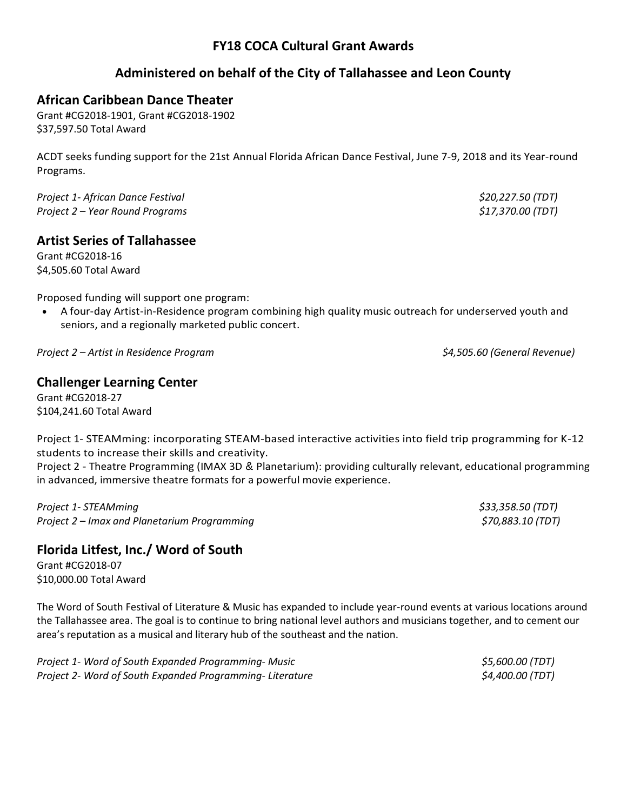# **FY18 COCA Cultural Grant Awards**

# **Administered on behalf of the City of Tallahassee and Leon County**

## **African Caribbean Dance Theater**

Grant #CG2018-1901, Grant #CG2018-1902 \$37,597.50 Total Award

ACDT seeks funding support for the 21st Annual Florida African Dance Festival, June 7-9, 2018 and its Year-round Programs.

*Project 1- African Dance Festival \$20,227.50 (TDT) Project 2 – Year Round Programs \$17,370.00 (TDT)*

#### **Artist Series of Tallahassee**

Grant #CG2018-16 \$4,505.60 Total Award

Proposed funding will support one program:

• A four-day Artist-in-Residence program combining high quality music outreach for underserved youth and seniors, and a regionally marketed public concert.

*Project 2 – Artist in Residence Program \$4,505.60 (General Revenue)*

#### **Challenger Learning Center**

Grant #CG2018-27 \$104,241.60 Total Award

Project 1- STEAMming: incorporating STEAM-based interactive activities into field trip programming for K-12 students to increase their skills and creativity.

Project 2 - Theatre Programming (IMAX 3D & Planetarium): providing culturally relevant, educational programming in advanced, immersive theatre formats for a powerful movie experience.

*Project 1- STEAMming \$33,358.50 (TDT) Project 2 – Imax and Planetarium Programming \$70,883.10 (TDT)*

# **Florida Litfest, Inc./ Word of South**

Grant #CG2018-07 \$10,000.00 Total Award

The Word of South Festival of Literature & Music has expanded to include year-round events at various locations around the Tallahassee area. The goal is to continue to bring national level authors and musicians together, and to cement our area's reputation as a musical and literary hub of the southeast and the nation.

| Project 1- Word of South Expanded Programming- Music     | <i>\$5,600.00 (TDT)</i> |
|----------------------------------------------------------|-------------------------|
| Project 2- Word of South Expanded Programming-Literature | <i>\$4,400.00 (TDT)</i> |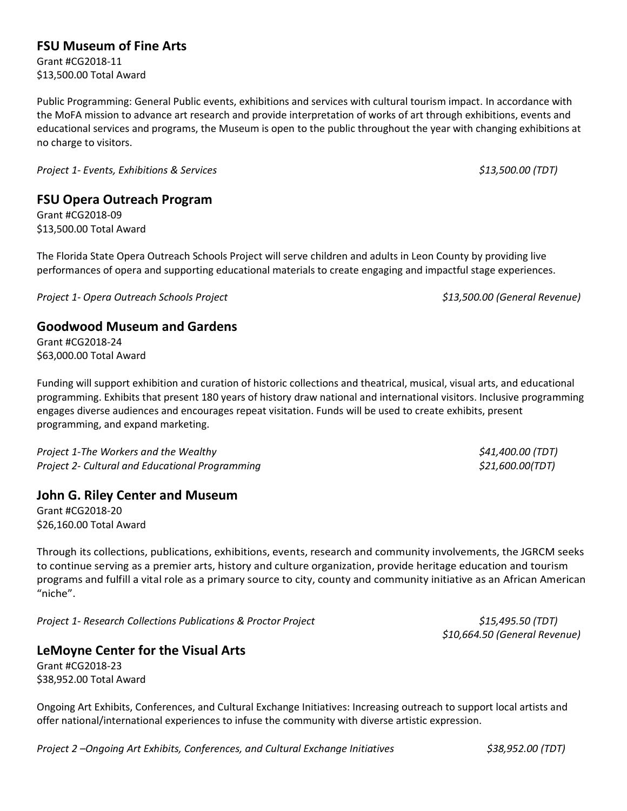# **FSU Museum of Fine Arts**

Grant #CG2018-11 \$13,500.00 Total Award

Public Programming: General Public events, exhibitions and services with cultural tourism impact. In accordance with the MoFA mission to advance art research and provide interpretation of works of art through exhibitions, events and educational services and programs, the Museum is open to the public throughout the year with changing exhibitions at no charge to visitors.

*Project 1- Events, Exhibitions & Services \$13,500.00 (TDT)*

### **FSU Opera Outreach Program**

Grant #CG2018-09 \$13,500.00 Total Award

The Florida State Opera Outreach Schools Project will serve children and adults in Leon County by providing live performances of opera and supporting educational materials to create engaging and impactful stage experiences.

*Project 1- Opera Outreach Schools Project \$13,500.00 (General Revenue)*

#### **Goodwood Museum and Gardens**

Grant #CG2018-24 \$63,000.00 Total Award

Funding will support exhibition and curation of historic collections and theatrical, musical, visual arts, and educational programming. Exhibits that present 180 years of history draw national and international visitors. Inclusive programming engages diverse audiences and encourages repeat visitation. Funds will be used to create exhibits, present programming, and expand marketing.

*Project 1-The Workers and the Wealthy \$41,400.00 (TDT) Project 2- Cultural and Educational Programming \$21,600.00(TDT)*

#### **John G. Riley Center and Museum**

Grant #CG2018-20 \$26,160.00 Total Award

Through its collections, publications, exhibitions, events, research and community involvements, the JGRCM seeks to continue serving as a premier arts, history and culture organization, provide heritage education and tourism programs and fulfill a vital role as a primary source to city, county and community initiative as an African American "niche".

*Project 1- Research Collections Publications & Proctor Project \$15,495.50 (TDT)*

*\$10,664.50 (General Revenue)*

#### **LeMoyne Center for the Visual Arts**

Grant #CG2018-23 \$38,952.00 Total Award

Ongoing Art Exhibits, Conferences, and Cultural Exchange Initiatives: Increasing outreach to support local artists and offer national/international experiences to infuse the community with diverse artistic expression.

*Project 2 –Ongoing Art Exhibits, Conferences, and Cultural Exchange Initiatives \$38,952.00 (TDT)*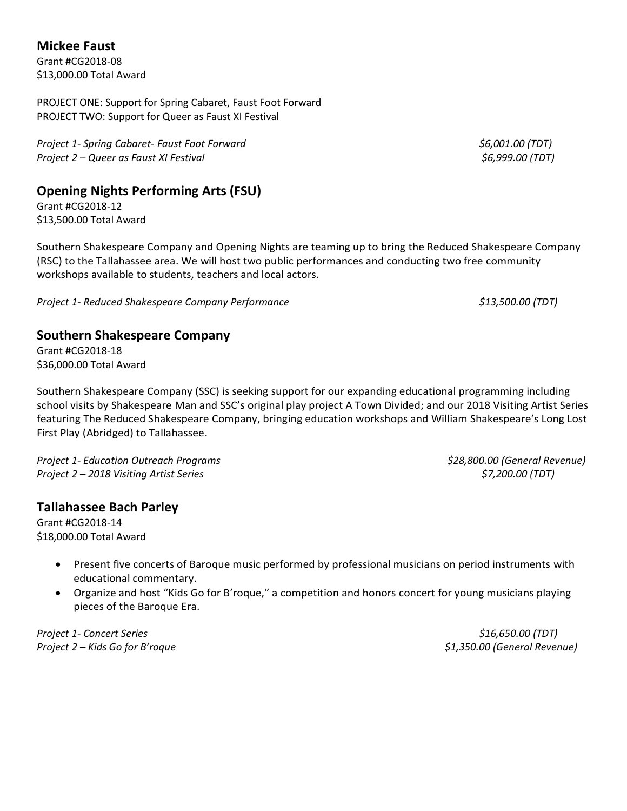## **Mickee Faust**

Grant #CG2018-08 \$13,000.00 Total Award

PROJECT ONE: Support for Spring Cabaret, Faust Foot Forward PROJECT TWO: Support for Queer as Faust XI Festival

*Project 1- Spring Cabaret- Faust Foot Forward \$6,001.00 (TDT) Project 2 – Queer as Faust XI Festival \$6,999.00 (TDT)*

# **Opening Nights Performing Arts (FSU)**

Grant #CG2018-12 \$13,500.00 Total Award

Southern Shakespeare Company and Opening Nights are teaming up to bring the Reduced Shakespeare Company (RSC) to the Tallahassee area. We will host two public performances and conducting two free community workshops available to students, teachers and local actors.

*Project 1- Reduced Shakespeare Company Performance \$13,500.00 (TDT)*

## **Southern Shakespeare Company**

Grant #CG2018-18 \$36,000.00 Total Award

Southern Shakespeare Company (SSC) is seeking support for our expanding educational programming including school visits by Shakespeare Man and SSC's original play project A Town Divided; and our 2018 Visiting Artist Series featuring The Reduced Shakespeare Company, bringing education workshops and William Shakespeare's Long Lost First Play (Abridged) to Tallahassee.

*Project 1- Education Outreach Programs \$28,800.00 (General Revenue) Project 2 – 2018 Visiting Artist Series \$7,200.00 (TDT)*

#### **Tallahassee Bach Parley**

Grant #CG2018-14 \$18,000.00 Total Award

- Present five concerts of Baroque music performed by professional musicians on period instruments with educational commentary.
- Organize and host "Kids Go for B'roque," a competition and honors concert for young musicians playing pieces of the Baroque Era.

*Project 1- Concert Series \$16,650.00 (TDT) Project 2 – Kids Go for B'roque \$1,350.00 (General Revenue)*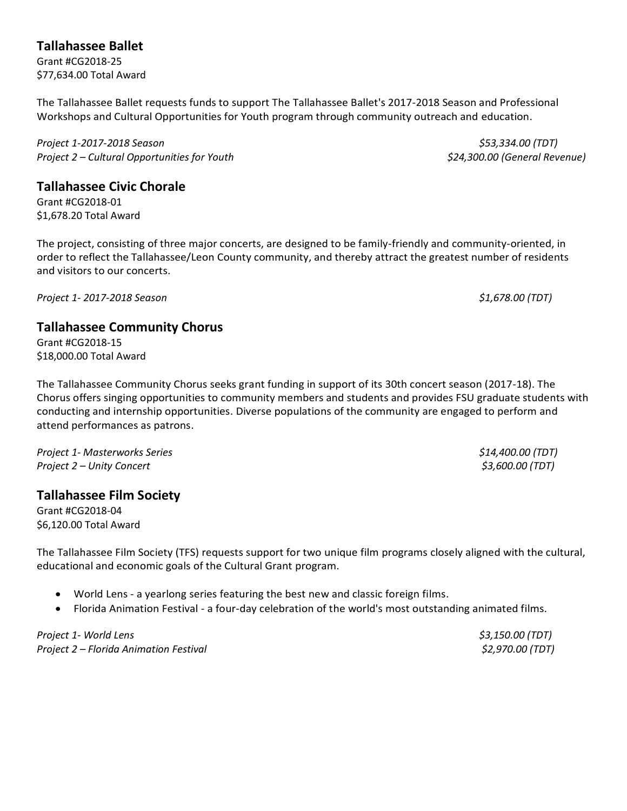# **Tallahassee Ballet**

Grant #CG2018-25 \$77,634.00 Total Award

The Tallahassee Ballet requests funds to support The Tallahassee Ballet's 2017-2018 Season and Professional Workshops and Cultural Opportunities for Youth program through community outreach and education.

*Project 1-2017-2018 Season \$53,334.00 (TDT) Project 2 – Cultural Opportunities for Youth \$24,300.00 (General Revenue)*

**Tallahassee Civic Chorale**

Grant #CG2018-01 \$1,678.20 Total Award

The project, consisting of three major concerts, are designed to be family-friendly and community-oriented, in order to reflect the Tallahassee/Leon County community, and thereby attract the greatest number of residents and visitors to our concerts.

*Project 1- 2017-2018 Season \$1,678.00 (TDT)*

## **Tallahassee Community Chorus**

Grant #CG2018-15 \$18,000.00 Total Award

The Tallahassee Community Chorus seeks grant funding in support of its 30th concert season (2017-18). The Chorus offers singing opportunities to community members and students and provides FSU graduate students with conducting and internship opportunities. Diverse populations of the community are engaged to perform and attend performances as patrons.

*Project 1- Masterworks Series \$14,400.00 (TDT) Project 2 – Unity Concert \$3,600.00 (TDT)*

# **Tallahassee Film Society**

Grant #CG2018-04 \$6,120.00 Total Award

The Tallahassee Film Society (TFS) requests support for two unique film programs closely aligned with the cultural, educational and economic goals of the Cultural Grant program.

- World Lens a yearlong series featuring the best new and classic foreign films.
- Florida Animation Festival a four-day celebration of the world's most outstanding animated films.

*Project 1- World Lens \$3,150.00 (TDT) Project 2 – Florida Animation Festival \$2,970.00 (TDT)*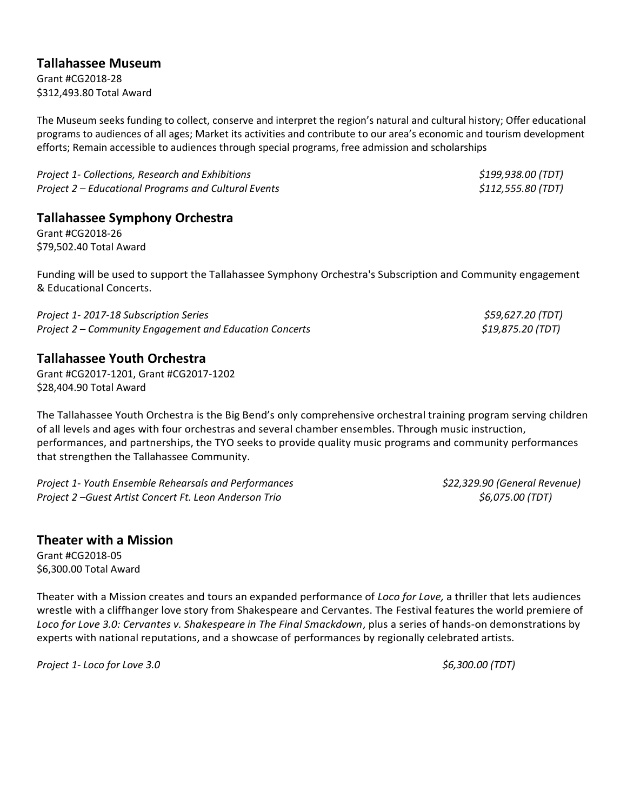## **Tallahassee Museum**

Grant #CG2018-28 \$312,493.80 Total Award

The Museum seeks funding to collect, conserve and interpret the region's natural and cultural history; Offer educational programs to audiences of all ages; Market its activities and contribute to our area's economic and tourism development efforts; Remain accessible to audiences through special programs, free admission and scholarships

*Project 1- Collections, Research and Exhibitions \$199,938.00 (TDT) Project 2 – Educational Programs and Cultural Events \$112,555.80 (TDT)*

**Tallahassee Symphony Orchestra**

Grant #CG2018-26 \$79,502.40 Total Award

Funding will be used to support the Tallahassee Symphony Orchestra's Subscription and Community engagement & Educational Concerts.

*Project 1- 2017-18 Subscription Series \$59,627.20 (TDT) Project 2 – Community Engagement and Education Concerts \$19,875.20 (TDT)*

## **Tallahassee Youth Orchestra**

Grant #CG2017-1201, Grant #CG2017-1202 \$28,404.90 Total Award

The Tallahassee Youth Orchestra is the Big Bend's only comprehensive orchestral training program serving children of all levels and ages with four orchestras and several chamber ensembles. Through music instruction, performances, and partnerships, the TYO seeks to provide quality music programs and community performances that strengthen the Tallahassee Community.

*Project 1- Youth Ensemble Rehearsals and Performances \$22,329.90 (General Revenue) Project 2 –Guest Artist Concert Ft. Leon Anderson Trio \$6,075.00 (TDT)*

# **Theater with a Mission**

Grant #CG2018-05 \$6,300.00 Total Award

Theater with a Mission creates and tours an expanded performance of *Loco for Love,* a thriller that lets audiences wrestle with a cliffhanger love story from Shakespeare and Cervantes. The Festival features the world premiere of *Loco for Love 3.0: Cervantes v. Shakespeare in The Final Smackdown*, plus a series of hands-on demonstrations by experts with national reputations, and a showcase of performances by regionally celebrated artists.

*Project 1- Loco for Love 3.0 \$6,300.00 (TDT)*